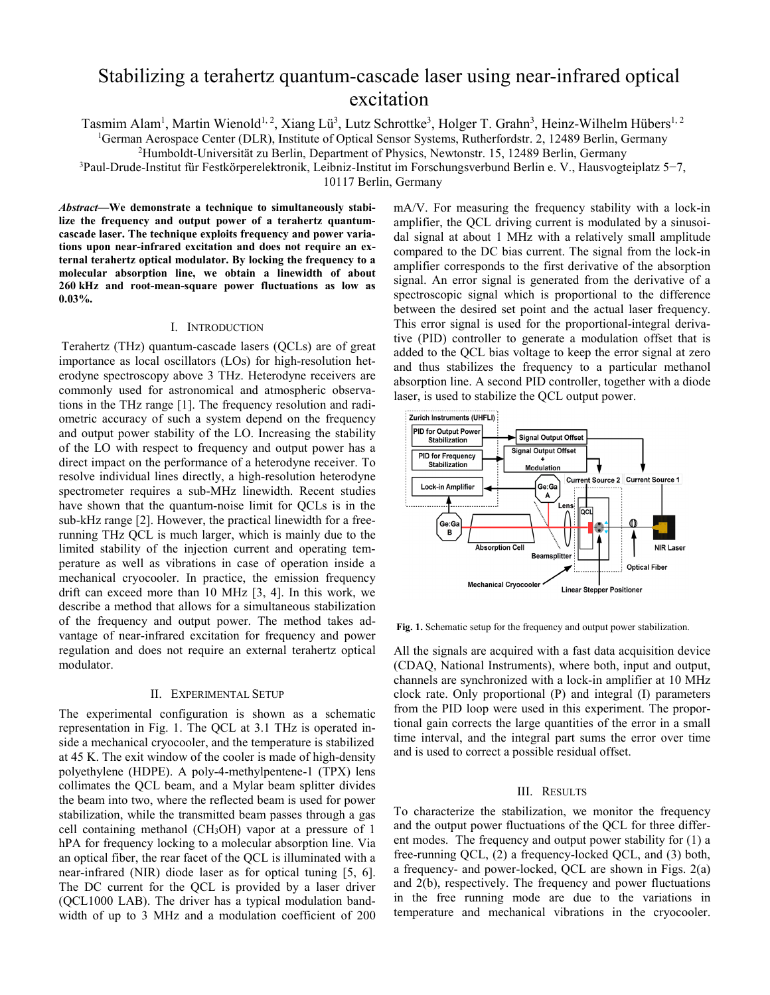# Stabilizing a terahertz quantum-cascade laser using near-infrared optical excitation

Tasmim Alam<sup>1</sup>, Martin Wienold<sup>1, 2</sup>, Xiang Lü<sup>3</sup>, Lutz Schrottke<sup>3</sup>, Holger T. Grahn<sup>3</sup>, Heinz-Wilhelm Hübers<sup>1, 2</sup>

<sup>1</sup>German Aerospace Center (DLR), Institute of Optical Sensor Systems, Rutherfordstr. 2, 12489 Berlin, Germany <sup>2</sup>Humboldt Universität zu Berlin, Department of Physics, Newtonstr. 15, 12489 Berlin, Germany <sup>2</sup>Humboldt-Universität zu Berlin, Department of Physics, Newtonstr. 15, 12489 Berlin, Germany

Paul-Drude-Institut für Festkörperelektronik, Leibniz-Institut im Forschungsverbund Berlin e. V., Hausvogteiplatz 5−7,

10117 Berlin, Germany

*Abstract***—We demonstrate a technique to simultaneously stabilize the frequency and output power of a terahertz quantumcascade laser. The technique exploits frequency and power variations upon near-infrared excitation and does not require an external terahertz optical modulator. By locking the frequency to a molecular absorption line, we obtain a linewidth of about 260 kHz and root-mean-square power fluctuations as low as 0.03%.** 

### I. INTRODUCTION

Terahertz (THz) quantum-cascade lasers (QCLs) are of great importance as local oscillators (LOs) for high-resolution heterodyne spectroscopy above 3 THz. Heterodyne receivers are commonly used for astronomical and atmospheric observations in the THz range [1]. The frequency resolution and radiometric accuracy of such a system depend on the frequency and output power stability of the LO. Increasing the stability of the LO with respect to frequency and output power has a direct impact on the performance of a heterodyne receiver. To resolve individual lines directly, a high-resolution heterodyne spectrometer requires a sub-MHz linewidth. Recent studies have shown that the quantum-noise limit for QCLs is in the sub-kHz range [2]. However, the practical linewidth for a freerunning THz QCL is much larger, which is mainly due to the limited stability of the injection current and operating temperature as well as vibrations in case of operation inside a mechanical cryocooler. In practice, the emission frequency drift can exceed more than 10 MHz [3, 4]. In this work, we describe a method that allows for a simultaneous stabilization of the frequency and output power. The method takes advantage of near-infrared excitation for frequency and power regulation and does not require an external terahertz optical modulator.

## II. EXPERIMENTAL SETUP

The experimental configuration is shown as a schematic representation in Fig. 1. The QCL at 3.1 THz is operated inside a mechanical cryocooler, and the temperature is stabilized at 45 K. The exit window of the cooler is made of high-density polyethylene (HDPE). A poly-4-methylpentene-1 (TPX) lens collimates the QCL beam, and a Mylar beam splitter divides the beam into two, where the reflected beam is used for power stabilization, while the transmitted beam passes through a gas cell containing methanol (CH3OH) vapor at a pressure of 1 hPA for frequency locking to a molecular absorption line. Via an optical fiber, the rear facet of the QCL is illuminated with a near-infrared (NIR) diode laser as for optical tuning [5, 6]. The DC current for the QCL is provided by a laser driver (QCL1000 LAB). The driver has a typical modulation bandwidth of up to 3 MHz and a modulation coefficient of 200

mA/V. For measuring the frequency stability with a lock-in amplifier, the QCL driving current is modulated by a sinusoidal signal at about 1 MHz with a relatively small amplitude compared to the DC bias current. The signal from the lock-in amplifier corresponds to the first derivative of the absorption signal. An error signal is generated from the derivative of a spectroscopic signal which is proportional to the difference between the desired set point and the actual laser frequency. This error signal is used for the proportional-integral derivative (PID) controller to generate a modulation offset that is added to the QCL bias voltage to keep the error signal at zero and thus stabilizes the frequency to a particular methanol absorption line. A second PID controller, together with a diode laser, is used to stabilize the QCL output power.



**Fig. 1.** Schematic setup for the frequency and output power stabilization.

All the signals are acquired with a fast data acquisition device (CDAQ, National Instruments), where both, input and output, channels are synchronized with a lock-in amplifier at 10 MHz clock rate. Only proportional (P) and integral (I) parameters from the PID loop were used in this experiment. The proportional gain corrects the large quantities of the error in a small time interval, and the integral part sums the error over time and is used to correct a possible residual offset.

#### III. RESULTS

To characterize the stabilization, we monitor the frequency and the output power fluctuations of the QCL for three different modes. The frequency and output power stability for (1) a free-running QCL, (2) a frequency-locked QCL, and (3) both, a frequency- and power-locked, QCL are shown in Figs. 2(a) and 2(b), respectively. The frequency and power fluctuations in the free running mode are due to the variations in temperature and mechanical vibrations in the cryocooler.